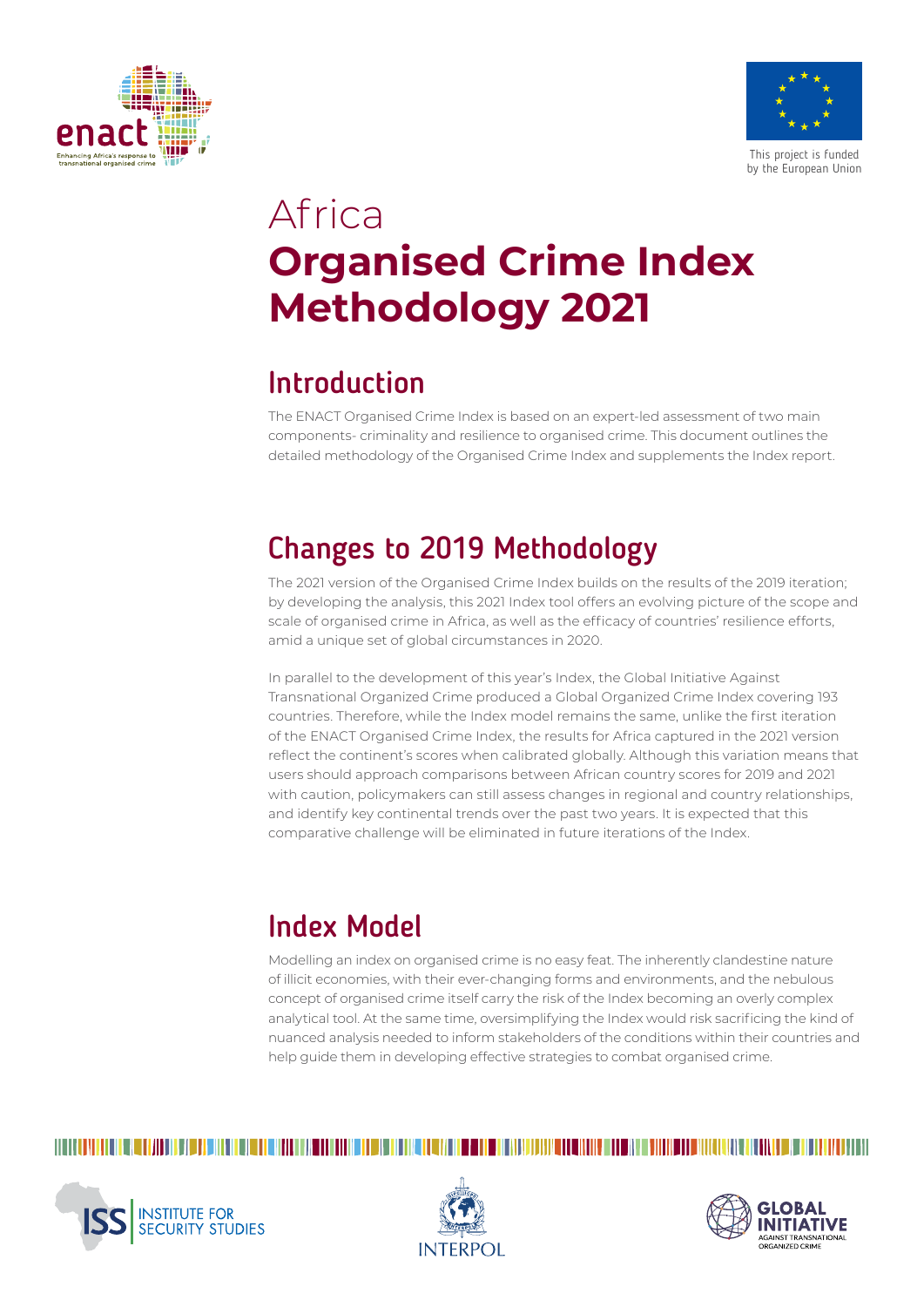



# Africa **Organised Crime Index Methodology 2021**

# Introduction

The ENACT Organised Crime Index is based on an expert-led assessment of two main components- criminality and resilience to organised crime. This document outlines the detailed methodology of the Organised Crime Index and supplements the Index report.

# Changes to 2019 Methodology

The 2021 version of the Organised Crime Index builds on the results of the 2019 iteration; by developing the analysis, this 2021 Index tool offers an evolving picture of the scope and scale of organised crime in Africa, as well as the efficacy of countries' resilience efforts, amid a unique set of global circumstances in 2020.

In parallel to the development of this year's Index, the Global Initiative Against Transnational Organized Crime produced a Global Organized Crime Index covering 193 countries. Therefore, while the Index model remains the same, unlike the first iteration of the ENACT Organised Crime Index, the results for Africa captured in the 2021 version reflect the continent's scores when calibrated globally. Although this variation means that users should approach comparisons between African country scores for 2019 and 2021 with caution, policymakers can still assess changes in regional and country relationships, and identify key continental trends over the past two years. It is expected that this comparative challenge will be eliminated in future iterations of the Index.

# Index Model

Modelling an index on organised crime is no easy feat. The inherently clandestine nature of illicit economies, with their ever-changing forms and environments, and the nebulous concept of organised crime itself carry the risk of the Index becoming an overly complex analytical tool. At the same time, oversimplifying the Index would risk sacrificing the kind of nuanced analysis needed to inform stakeholders of the conditions within their countries and help guide them in developing effective strategies to combat organised crime.

# 





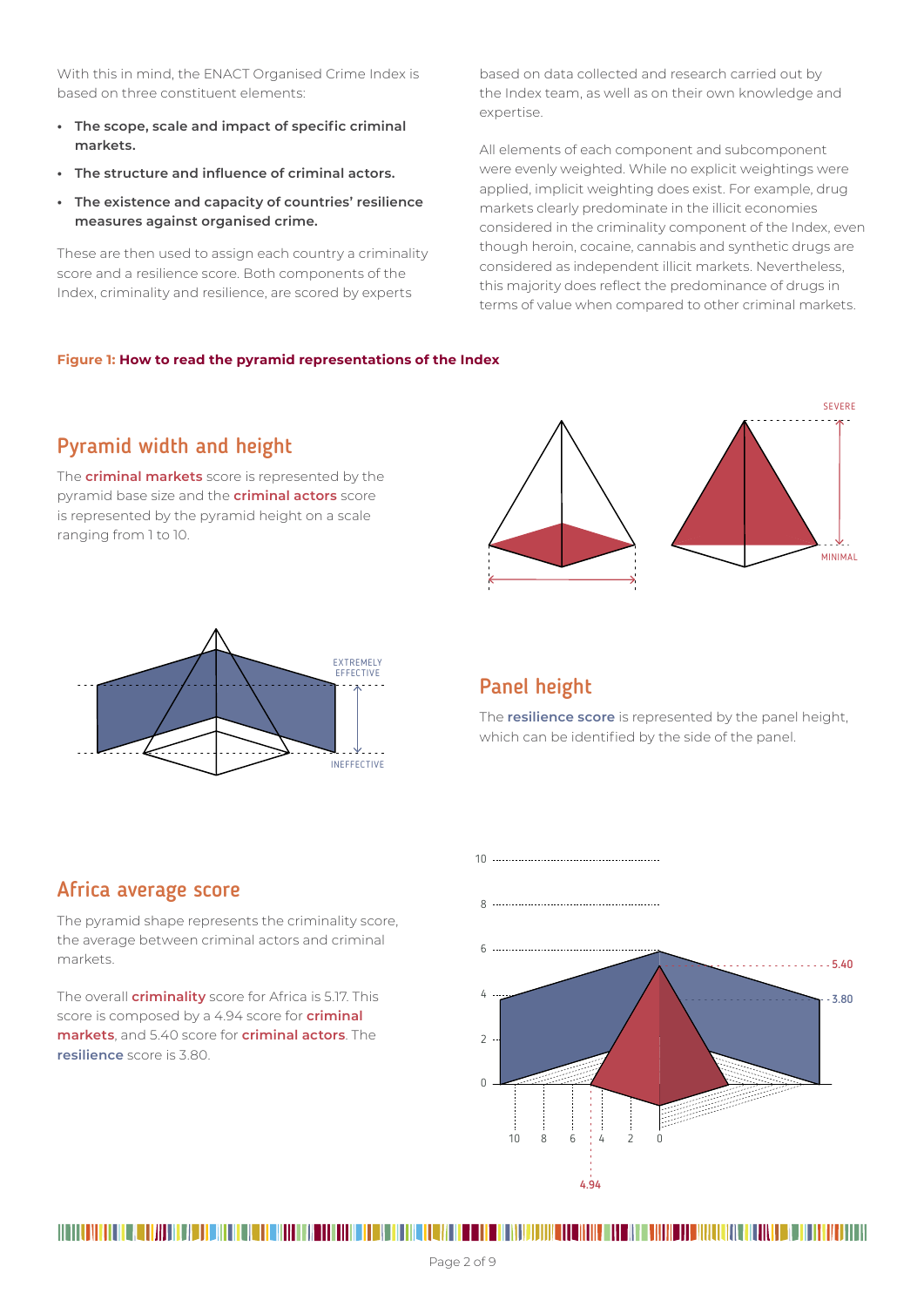With this in mind, the ENACT Organised Crime Index is based on three constituent elements:

- **• The scope, scale and impact of specific criminal markets.**
- **• The structure and influence of criminal actors.**
- **• The existence and capacity of countries' resilience measures against organised crime.**

These are then used to assign each country a criminality score and a resilience score. Both components of the Index, criminality and resilience, are scored by experts

based on data collected and research carried out by the Index team, as well as on their own knowledge and expertise.

All elements of each component and subcomponent were evenly weighted. While no explicit weightings were applied, implicit weighting does exist. For example, drug markets clearly predominate in the illicit economies considered in the criminality component of the Index, even though heroin, cocaine, cannabis and synthetic drugs are considered as independent illicit markets. Nevertheless, this majority does reflect the predominance of drugs in terms of value when compared to other criminal markets.

### **Figure 1: How to read the pyramid representations of the Index**

## Pyramid width and height

The **criminal markets** score is represented by the pyramid base size and the **criminal actors** score is represented by the pyramid height on a scale ranging from 1 to 10.





# Panel height

The **resilience score** is represented by the panel height, which can be identified by the side of the panel.

## Africa average score

The pyramid shape represents the criminality score, the average between criminal actors and criminal markets.

The overall **criminality** score for Africa is 5.17. This score is composed by a 4.94 score for **criminal markets**, and 5.40 score for **criminal actors**. The **resilience** score is 3.80.

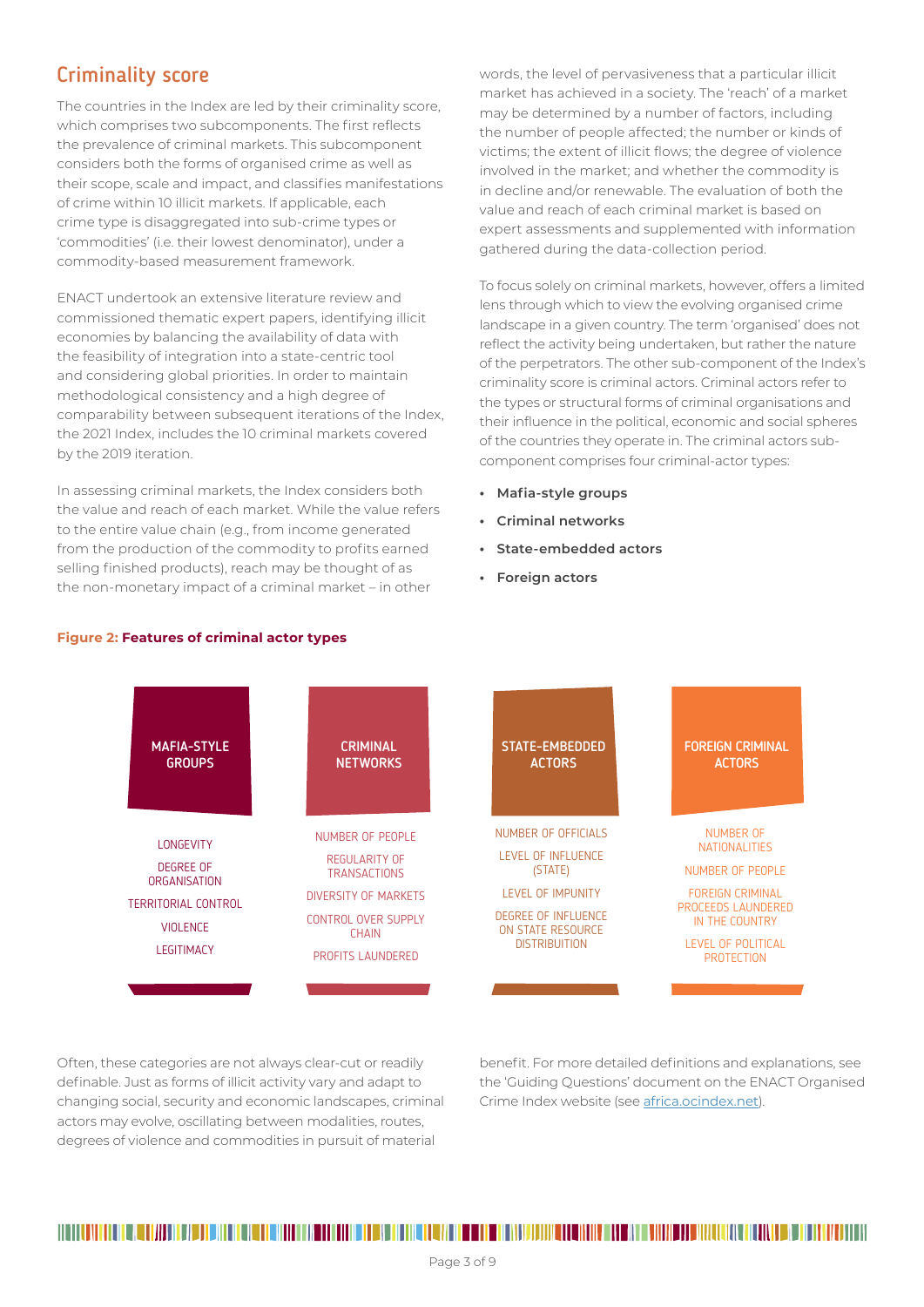# Criminality score

The countries in the Index are led by their criminality score, which comprises two subcomponents. The first reflects the prevalence of criminal markets. This subcomponent considers both the forms of organised crime as well as their scope, scale and impact, and classifies manifestations of crime within 10 illicit markets. If applicable, each crime type is disaggregated into sub-crime types or 'commodities' (i.e. their lowest denominator), under a commodity-based measurement framework.

ENACT undertook an extensive literature review and commissioned thematic expert papers, identifying illicit economies by balancing the availability of data with the feasibility of integration into a state-centric tool and considering global priorities. In order to maintain methodological consistency and a high degree of comparability between subsequent iterations of the Index, the 2021 Index, includes the 10 criminal markets covered by the 2019 iteration.

In assessing criminal markets, the Index considers both the value and reach of each market. While the value refers to the entire value chain (e.g., from income generated from the production of the commodity to profits earned selling finished products), reach may be thought of as the non-monetary impact of a criminal market – in other

words, the level of pervasiveness that a particular illicit market has achieved in a society. The 'reach' of a market may be determined by a number of factors, including the number of people affected; the number or kinds of victims; the extent of illicit flows; the degree of violence involved in the market; and whether the commodity is in decline and/or renewable. The evaluation of both the value and reach of each criminal market is based on expert assessments and supplemented with information gathered during the data-collection period.

To focus solely on criminal markets, however, offers a limited lens through which to view the evolving organised crime landscape in a given country. The term 'organised' does not reflect the activity being undertaken, but rather the nature of the perpetrators. The other sub-component of the Index's criminality score is criminal actors. Criminal actors refer to the types or structural forms of criminal organisations and their influence in the political, economic and social spheres of the countries they operate in. The criminal actors subcomponent comprises four criminal-actor types:

- **• Mafia-style groups**
- **• Criminal networks**
- **• State-embedded actors**
- **• Foreign actors**



Often, these categories are not always clear-cut or readily definable. Just as forms of illicit activity vary and adapt to changing social, security and economic landscapes, criminal actors may evolve, oscillating between modalities, routes, degrees of violence and commodities in pursuit of material

benefit. For more detailed definitions and explanations, see the 'Guiding Questions' document on the ENACT Organised Crime Index website (see africa.ocindex.net).

### **Figure 2: Features of criminal actor types**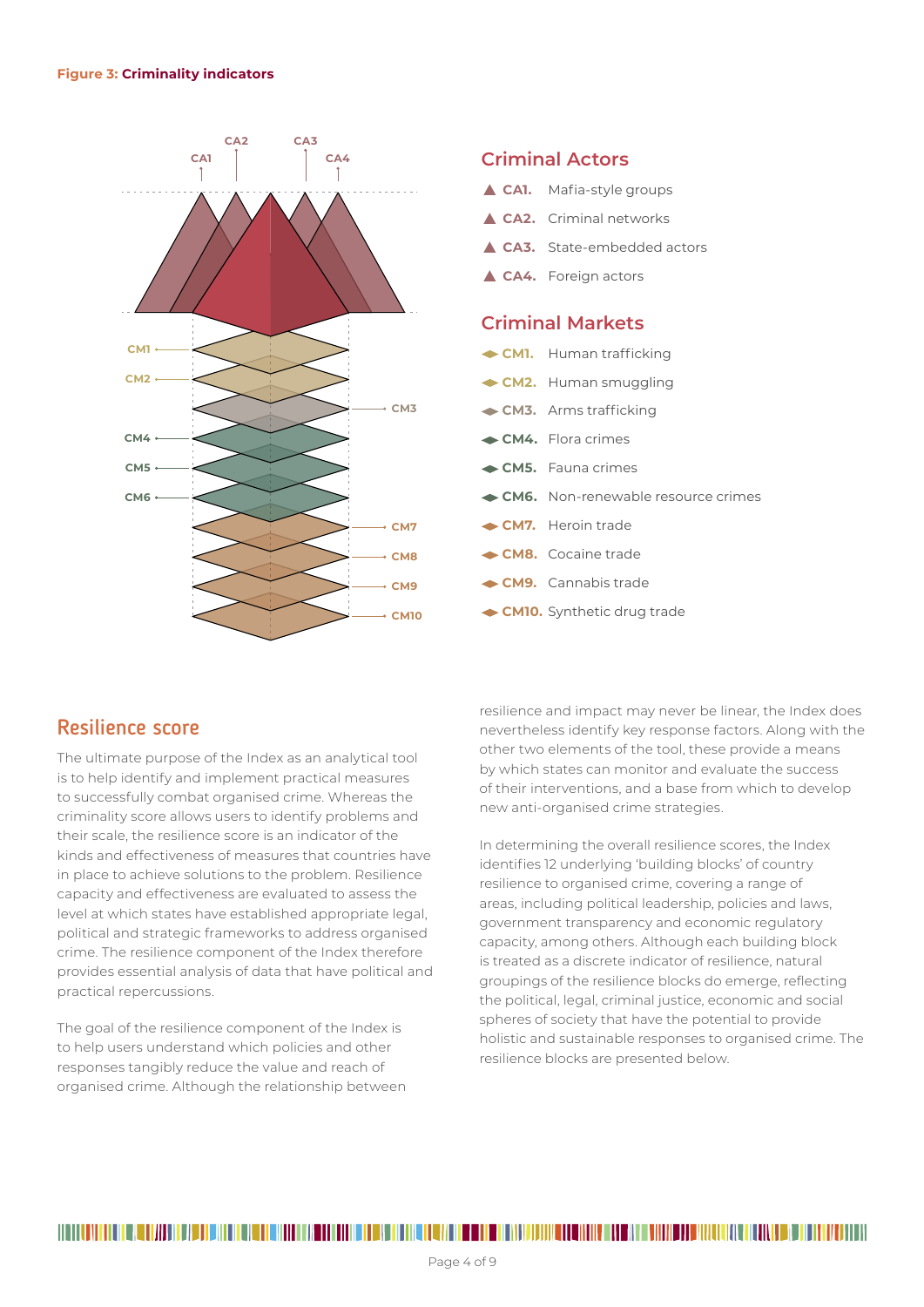

## **Criminal Actors**

- ▲ CA1. Mafia-style groups
- **CA2.** Criminal networks
- **CA3.** State-embedded actors
- **CA4.** Foreign actors

## **Criminal Markets**

- **CM1.** Human trafficking
- **CM2.** Human smuggling
- **CM3.** Arms trafficking
- **CM4.** Flora crimes
- **CM5.** Fauna crimes
- **CM6.** Non-renewable resource crimes
- **CM7.** Heroin trade
- **CM8.** Cocaine trade
- **CM9.** Cannabis trade
- **CM10.** Synthetic drug trade

## Resilience score

The ultimate purpose of the Index as an analytical tool is to help identify and implement practical measures to successfully combat organised crime. Whereas the criminality score allows users to identify problems and their scale, the resilience score is an indicator of the kinds and effectiveness of measures that countries have in place to achieve solutions to the problem. Resilience capacity and effectiveness are evaluated to assess the level at which states have established appropriate legal, political and strategic frameworks to address organised crime. The resilience component of the Index therefore provides essential analysis of data that have political and practical repercussions.

The goal of the resilience component of the Index is to help users understand which policies and other responses tangibly reduce the value and reach of organised crime. Although the relationship between resilience and impact may never be linear, the Index does nevertheless identify key response factors. Along with the other two elements of the tool, these provide a means by which states can monitor and evaluate the success of their interventions, and a base from which to develop new anti-organised crime strategies.

In determining the overall resilience scores, the Index identifies 12 underlying 'building blocks' of country resilience to organised crime, covering a range of areas, including political leadership, policies and laws, government transparency and economic regulatory capacity, among others. Although each building block is treated as a discrete indicator of resilience, natural groupings of the resilience blocks do emerge, reflecting the political, legal, criminal justice, economic and social spheres of society that have the potential to provide holistic and sustainable responses to organised crime. The resilience blocks are presented below.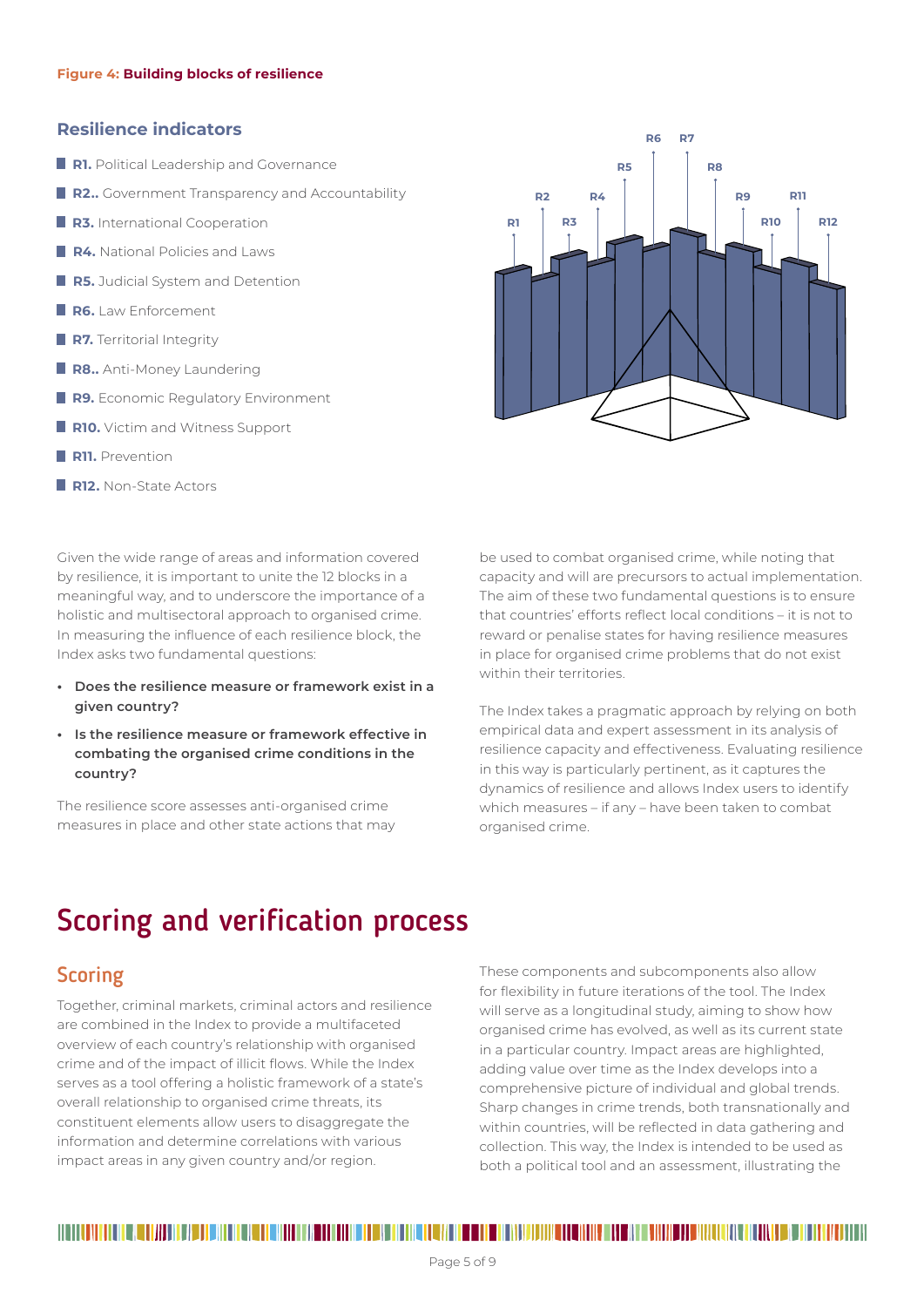### **Resilience indicators**

- **R1.** Political Leadership and Governance
- **R2..** Government Transparency and Accountability
- **R3.** International Cooperation
- **R4.** National Policies and Laws
- **R5.** Judicial System and Detention
- **R6.** Law Enforcement
- **R7.** Territorial Integrity
- **R8..** Anti-Money Laundering
- **R9.** Economic Regulatory Environment
- **R10.** Victim and Witness Support
- **R11.** Prevention
- **R12.** Non-State Actors

Given the wide range of areas and information covered by resilience, it is important to unite the 12 blocks in a meaningful way, and to underscore the importance of a holistic and multisectoral approach to organised crime. In measuring the influence of each resilience block, the Index asks two fundamental questions:

- **• Does the resilience measure or framework exist in a given country?**
- **• Is the resilience measure or framework effective in combating the organised crime conditions in the country?**

The resilience score assesses anti-organised crime measures in place and other state actions that may **R1 R2 R3 R4 R5 R6 R7 R8 R9 R10 R11 R12**

be used to combat organised crime, while noting that capacity and will are precursors to actual implementation. The aim of these two fundamental questions is to ensure that countries' efforts reflect local conditions – it is not to reward or penalise states for having resilience measures in place for organised crime problems that do not exist within their territories.

The Index takes a pragmatic approach by relying on both empirical data and expert assessment in its analysis of resilience capacity and effectiveness. Evaluating resilience in this way is particularly pertinent, as it captures the dynamics of resilience and allows Index users to identify which measures – if any – have been taken to combat organised crime.

# Scoring and verification process

# **Scoring**

Together, criminal markets, criminal actors and resilience are combined in the Index to provide a multifaceted overview of each country's relationship with organised crime and of the impact of illicit flows. While the Index serves as a tool offering a holistic framework of a state's overall relationship to organised crime threats, its constituent elements allow users to disaggregate the information and determine correlations with various impact areas in any given country and/or region.

These components and subcomponents also allow for flexibility in future iterations of the tool. The Index will serve as a longitudinal study, aiming to show how organised crime has evolved, as well as its current state in a particular country. Impact areas are highlighted, adding value over time as the Index develops into a comprehensive picture of individual and global trends. Sharp changes in crime trends, both transnationally and within countries, will be reflected in data gathering and collection. This way, the Index is intended to be used as both a political tool and an assessment, illustrating the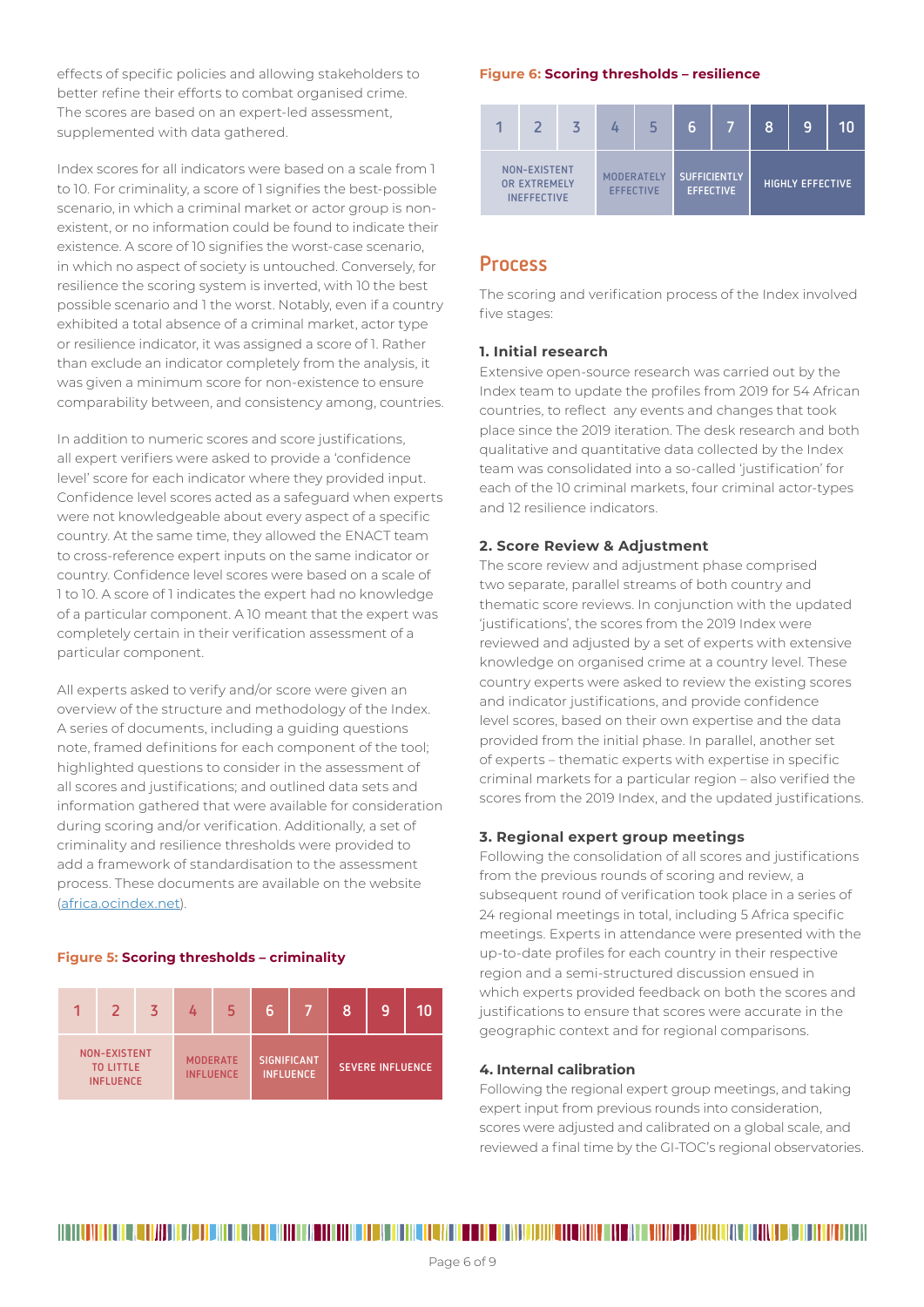effects of specific policies and allowing stakeholders to better refine their efforts to combat organised crime. The scores are based on an expert-led assessment, supplemented with data gathered.

Index scores for all indicators were based on a scale from 1 to 10. For criminality, a score of 1 signifies the best-possible scenario, in which a criminal market or actor group is nonexistent, or no information could be found to indicate their existence. A score of 10 signifies the worst-case scenario, in which no aspect of society is untouched. Conversely, for resilience the scoring system is inverted, with 10 the best possible scenario and 1 the worst. Notably, even if a country exhibited a total absence of a criminal market, actor type or resilience indicator, it was assigned a score of 1. Rather than exclude an indicator completely from the analysis, it was given a minimum score for non-existence to ensure comparability between, and consistency among, countries.

In addition to numeric scores and score justifications, all expert verifiers were asked to provide a 'confidence level' score for each indicator where they provided input. Confidence level scores acted as a safeguard when experts were not knowledgeable about every aspect of a specific country. At the same time, they allowed the ENACT team to cross-reference expert inputs on the same indicator or country. Confidence level scores were based on a scale of 1 to 10. A score of 1 indicates the expert had no knowledge of a particular component. A 10 meant that the expert was completely certain in their verification assessment of a particular component.

All experts asked to verify and/or score were given an overview of the structure and methodology of the Index. A series of documents, including a guiding questions note, framed definitions for each component of the tool; highlighted questions to consider in the assessment of all scores and justifications; and outlined data sets and information gathered that were available for consideration during scoring and/or verification. Additionally, a set of criminality and resilience thresholds were provided to add a framework of standardisation to the assessment process. These documents are available on the website (africa.ocindex.net).

#### **Figure 5: Scoring thresholds – criminality**



#### **Figure 6: Scoring thresholds – resilience**



## Process

The scoring and verification process of the Index involved five stages:

### **1. Initial research**

Extensive open-source research was carried out by the Index team to update the profiles from 2019 for 54 African countries, to reflect any events and changes that took place since the 2019 iteration. The desk research and both qualitative and quantitative data collected by the Index team was consolidated into a so-called 'justification' for each of the 10 criminal markets, four criminal actor-types and 12 resilience indicators.

### **2. Score Review & Adjustment**

The score review and adjustment phase comprised two separate, parallel streams of both country and thematic score reviews. In conjunction with the updated 'justifications', the scores from the 2019 Index were reviewed and adjusted by a set of experts with extensive knowledge on organised crime at a country level. These country experts were asked to review the existing scores and indicator justifications, and provide confidence level scores, based on their own expertise and the data provided from the initial phase. In parallel, another set of experts – thematic experts with expertise in specific criminal markets for a particular region – also verified the scores from the 2019 Index, and the updated justifications.

#### **3. Regional expert group meetings**

Following the consolidation of all scores and justifications from the previous rounds of scoring and review, a subsequent round of verification took place in a series of 24 regional meetings in total, including 5 Africa specific meetings. Experts in attendance were presented with the up-to-date profiles for each country in their respective region and a semi-structured discussion ensued in which experts provided feedback on both the scores and justifications to ensure that scores were accurate in the geographic context and for regional comparisons.

#### **4. Internal calibration**

Following the regional expert group meetings, and taking expert input from previous rounds into consideration, scores were adjusted and calibrated on a global scale, and reviewed a final time by the GI-TOC's regional observatories.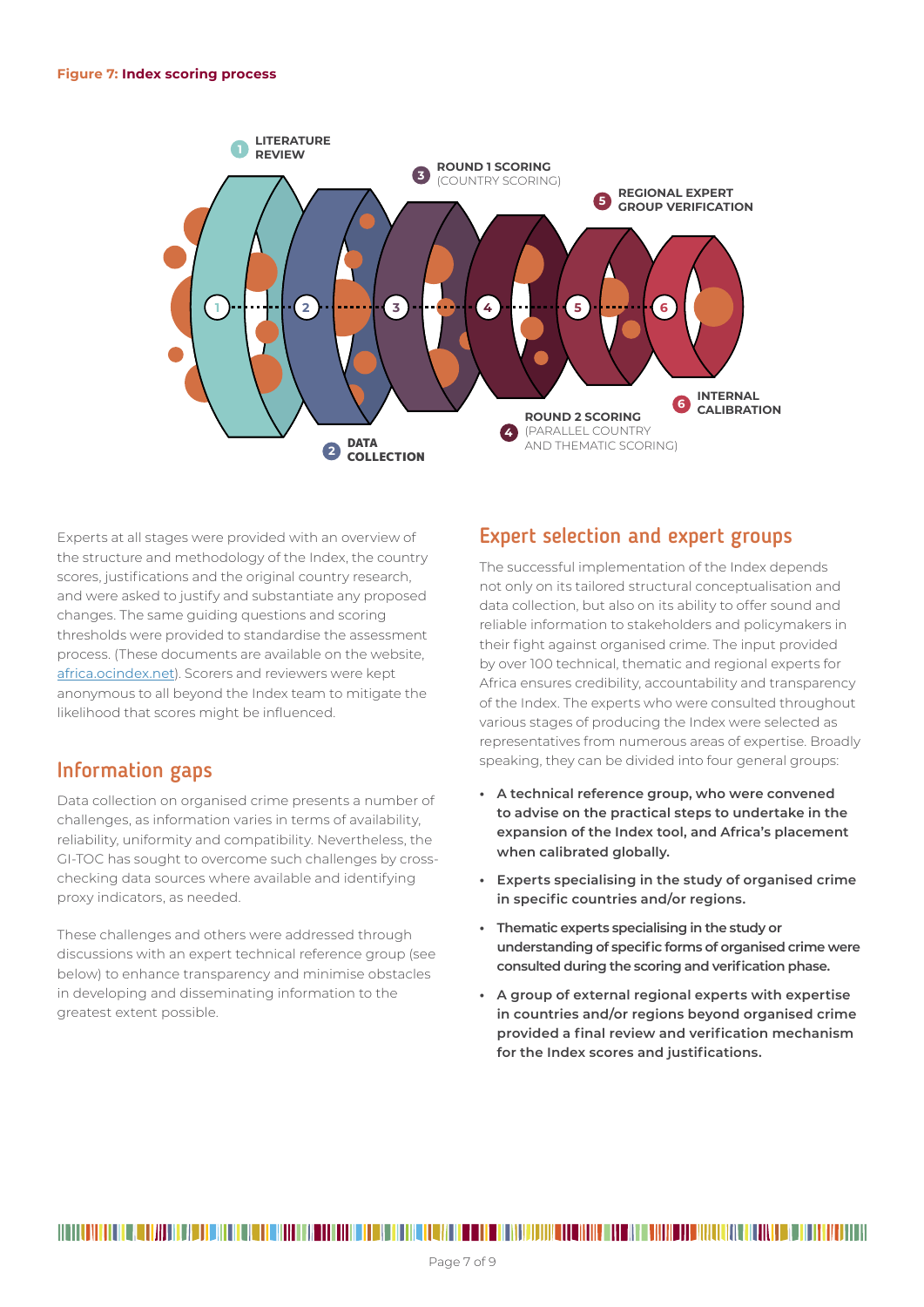

Experts at all stages were provided with an overview of the structure and methodology of the Index, the country scores, justifications and the original country research, and were asked to justify and substantiate any proposed changes. The same guiding questions and scoring thresholds were provided to standardise the assessment process. (These documents are available on the website, africa.ocindex.net). Scorers and reviewers were kept anonymous to all beyond the Index team to mitigate the likelihood that scores might be influenced.

# Information gaps

Data collection on organised crime presents a number of challenges, as information varies in terms of availability, reliability, uniformity and compatibility. Nevertheless, the GI-TOC has sought to overcome such challenges by crosschecking data sources where available and identifying proxy indicators, as needed.

These challenges and others were addressed through discussions with an expert technical reference group (see below) to enhance transparency and minimise obstacles in developing and disseminating information to the greatest extent possible.

# Expert selection and expert groups

The successful implementation of the Index depends not only on its tailored structural conceptualisation and data collection, but also on its ability to offer sound and reliable information to stakeholders and policymakers in their fight against organised crime. The input provided by over 100 technical, thematic and regional experts for Africa ensures credibility, accountability and transparency of the Index. The experts who were consulted throughout various stages of producing the Index were selected as representatives from numerous areas of expertise. Broadly speaking, they can be divided into four general groups:

- **• A technical reference group, who were convened to advise on the practical steps to undertake in the expansion of the Index tool, and Africa's placement when calibrated globally.**
- **• Experts specialising in the study of organised crime in specific countries and/or regions.**
- **• Thematic experts specialising in the study or understanding of specific forms of organised crime were consulted during the scoring and verification phase.**
- **• A group of external regional experts with expertise in countries and/or regions beyond organised crime provided a final review and verification mechanism for the Index scores and justifications.**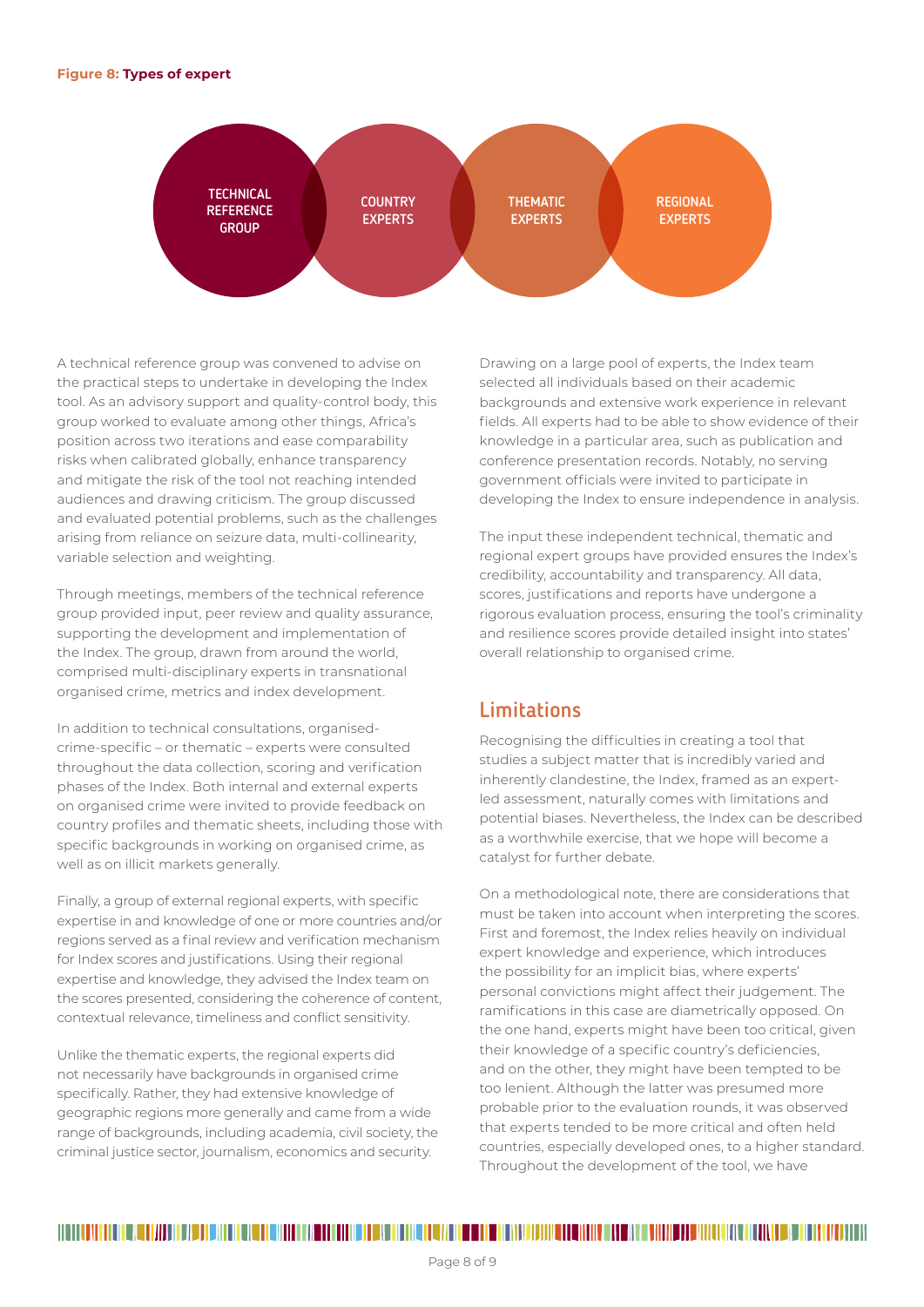

A technical reference group was convened to advise on the practical steps to undertake in developing the Index tool. As an advisory support and quality-control body, this group worked to evaluate among other things, Africa's position across two iterations and ease comparability risks when calibrated globally, enhance transparency and mitigate the risk of the tool not reaching intended audiences and drawing criticism. The group discussed and evaluated potential problems, such as the challenges arising from reliance on seizure data, multi-collinearity, variable selection and weighting.

Through meetings, members of the technical reference group provided input, peer review and quality assurance, supporting the development and implementation of the Index. The group, drawn from around the world, comprised multi-disciplinary experts in transnational organised crime, metrics and index development.

In addition to technical consultations, organisedcrime-specific – or thematic – experts were consulted throughout the data collection, scoring and verification phases of the Index. Both internal and external experts on organised crime were invited to provide feedback on country profiles and thematic sheets, including those with specific backgrounds in working on organised crime, as well as on illicit markets generally.

Finally, a group of external regional experts, with specific expertise in and knowledge of one or more countries and/or regions served as a final review and verification mechanism for Index scores and justifications. Using their regional expertise and knowledge, they advised the Index team on the scores presented, considering the coherence of content, contextual relevance, timeliness and conflict sensitivity.

Unlike the thematic experts, the regional experts did not necessarily have backgrounds in organised crime specifically. Rather, they had extensive knowledge of geographic regions more generally and came from a wide range of backgrounds, including academia, civil society, the criminal justice sector, journalism, economics and security.

Drawing on a large pool of experts, the Index team selected all individuals based on their academic backgrounds and extensive work experience in relevant fields. All experts had to be able to show evidence of their knowledge in a particular area, such as publication and conference presentation records. Notably, no serving government officials were invited to participate in developing the Index to ensure independence in analysis.

The input these independent technical, thematic and regional expert groups have provided ensures the Index's credibility, accountability and transparency. All data, scores, justifications and reports have undergone a rigorous evaluation process, ensuring the tool's criminality and resilience scores provide detailed insight into states' overall relationship to organised crime.

# **Limitations**

Recognising the difficulties in creating a tool that studies a subject matter that is incredibly varied and inherently clandestine, the Index, framed as an expertled assessment, naturally comes with limitations and potential biases. Nevertheless, the Index can be described as a worthwhile exercise, that we hope will become a catalyst for further debate.

On a methodological note, there are considerations that must be taken into account when interpreting the scores. First and foremost, the Index relies heavily on individual expert knowledge and experience, which introduces the possibility for an implicit bias, where experts' personal convictions might affect their judgement. The ramifications in this case are diametrically opposed. On the one hand, experts might have been too critical, given their knowledge of a specific country's deficiencies, and on the other, they might have been tempted to be too lenient. Although the latter was presumed more probable prior to the evaluation rounds, it was observed that experts tended to be more critical and often held countries, especially developed ones, to a higher standard. Throughout the development of the tool, we have